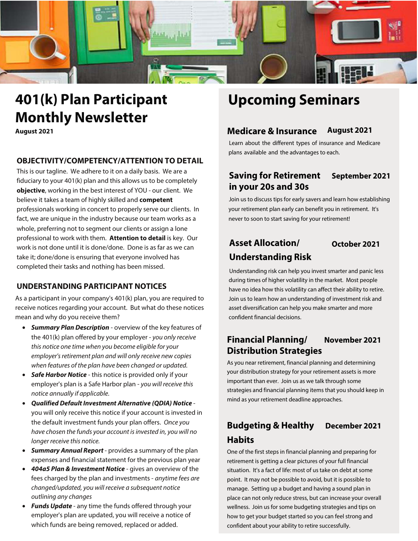

# **401(k) Plan Participant Monthly Newsletter**

**August 2021**

#### **OBJECTIVITY/COMPETENCY/ATTENTION TO DETAIL**

This is our tagline. We adhere to it on a daily basis. We are a fiduciary to your 401(k) plan and this allows us to be completely **objective**, working in the best interest of YOU - our client. We believe it takes a team of highly skilled and **competent**  professionals working in concert to properly serve our clients. In fact, we are unique in the industry because our team works as a whole, preferring not to segment our clients or assign a lone professional to work with them. **Attention to detail** is key. Our work is not done until it is done/done. Done is as far as we can take it; done/done is ensuring that everyone involved has completed their tasks and nothing has been missed.

### **UNDERSTANDING PARTICIPANT NOTICES**

As a participant in your company's 401(k) plan, you are required to receive notices regarding your account. But what do these notices mean and why do you receive them?

- **Summary Plan Description** overview of the key features of the 401(k) plan offered by your employer - you only receive this notice one time when you become eligible for your employer's retirement plan and will only receive new copies when features of the plan have been changed or updated.
- **Safe Harbor Notice** this notice is provided only if your employer's plan is a Safe Harbor plan - you will receive this notice annually if applicable.
- **Qualified Default Investment Alternative (QDIA) Notice**  you will only receive this notice if your account is invested in the default investment funds your plan offers. Once you have chosen the funds your account is invested in, you will no longer receive this notice.
- **Summary Annual Report**  provides a summary of the plan expenses and financial statement for the previous plan year
- **404a5 Plan & Investment Notice** gives an overview of the fees charged by the plan and investments - anytime fees are changed/updated, you will receive a subsequent notice outlining any changes
- **Funds Update**  any time the funds offered through your employer's plan are updated, you will receive a notice of which funds are being removed, replaced or added.

# **Upcoming Seminars**

### **Medicare & Insurance August 2021**

Learn about the different types of insurance and Medicare plans available and the advantages to each.

### **Saving for Retirement September 2021 in your 20s and 30s**

Join us to discuss tips for early savers and learn how establishing your retirement plan early can benefit you in retirement. It's never to soon to start saving for your retirement!

### **Asset Allocation/ October 2021 Understanding Risk**

Understanding risk can help you invest smarter and panic less during times of higher volatility in the market. Most people have no idea how this volatility can affect their ability to retire. Join us to learn how an understanding of investment risk and asset diversification can help you make smarter and more confident financial decisions.

### **Financial Planning/ November 2021 Distribution Strategies**

As you near retirement, financial planning and determining your distribution strategy for your retirement assets is more important than ever. Join us as we talk through some strategies and financial planning items that you should keep in mind as your retirement deadline approaches.

## **Budgeting & Healthy December 2021 Habits**

One of the first steps in financial planning and preparing for retirement is getting a clear pictures of your full financial situation. It's a fact of life: most of us take on debt at some point. It may not be possible to avoid, but it is possible to manage. Setting up a budget and having a sound plan in place can not only reduce stress, but can increase your overall wellness. Join us for some budgeting strategies and tips on how to get your budget started so you can feel strong and confident about your ability to retire successfully.